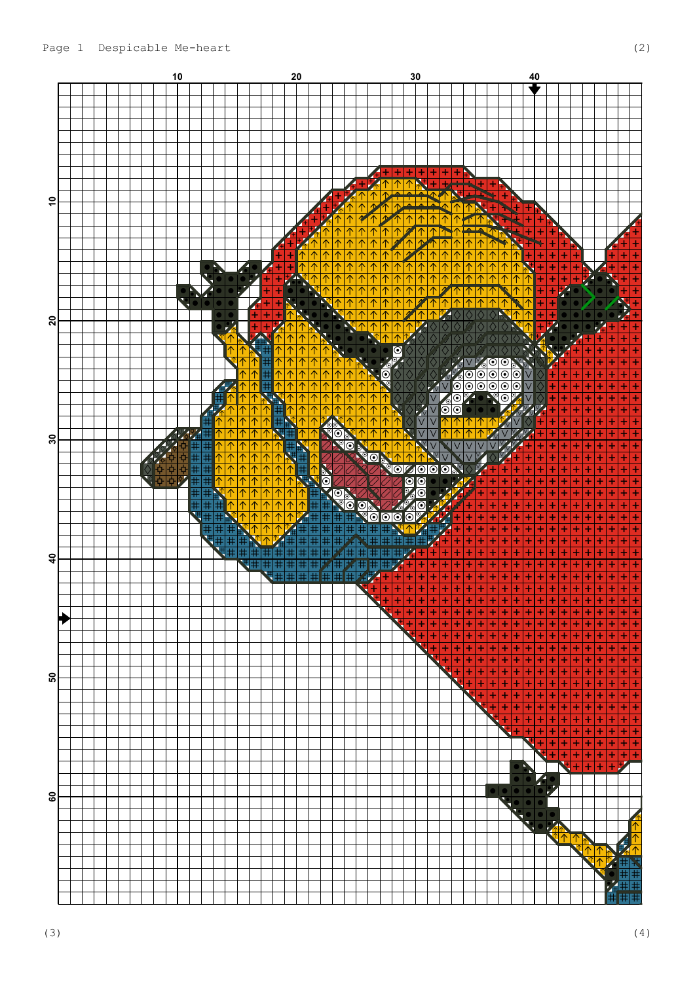

 $(2)$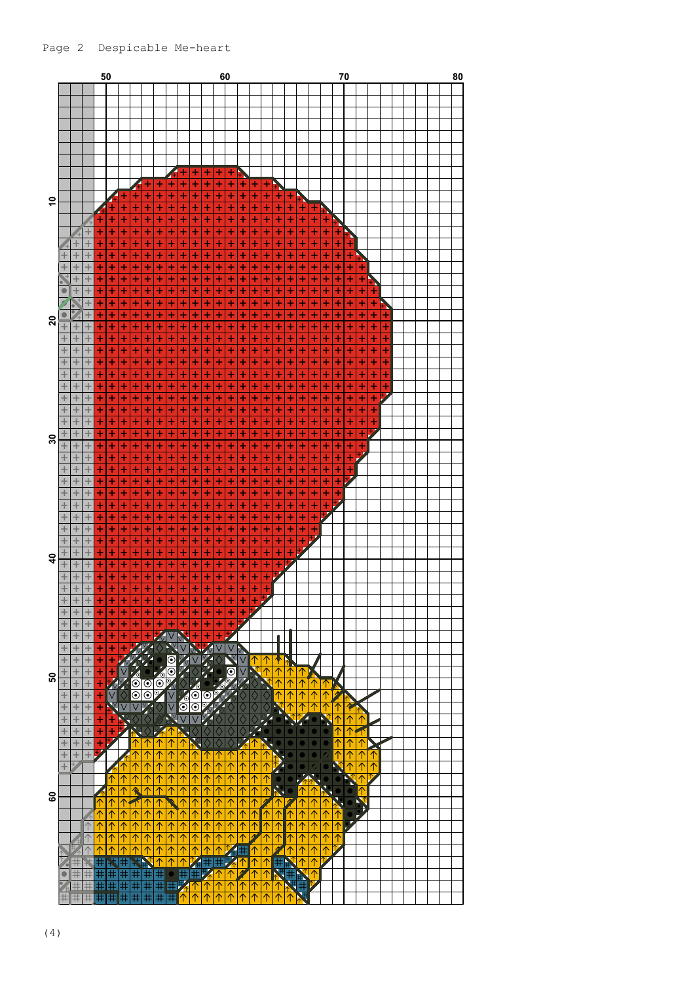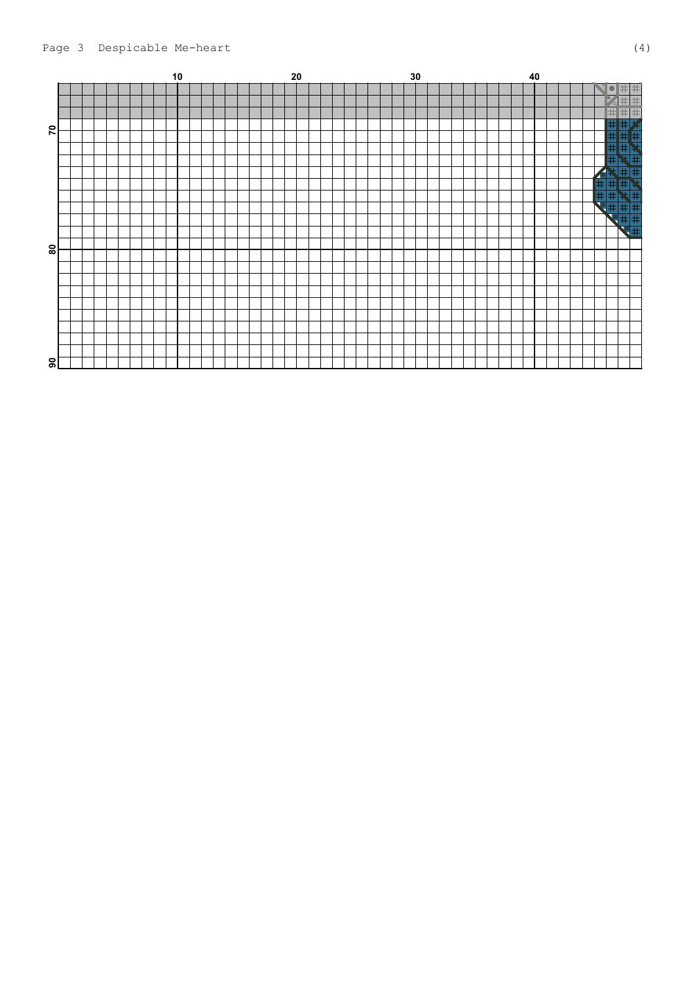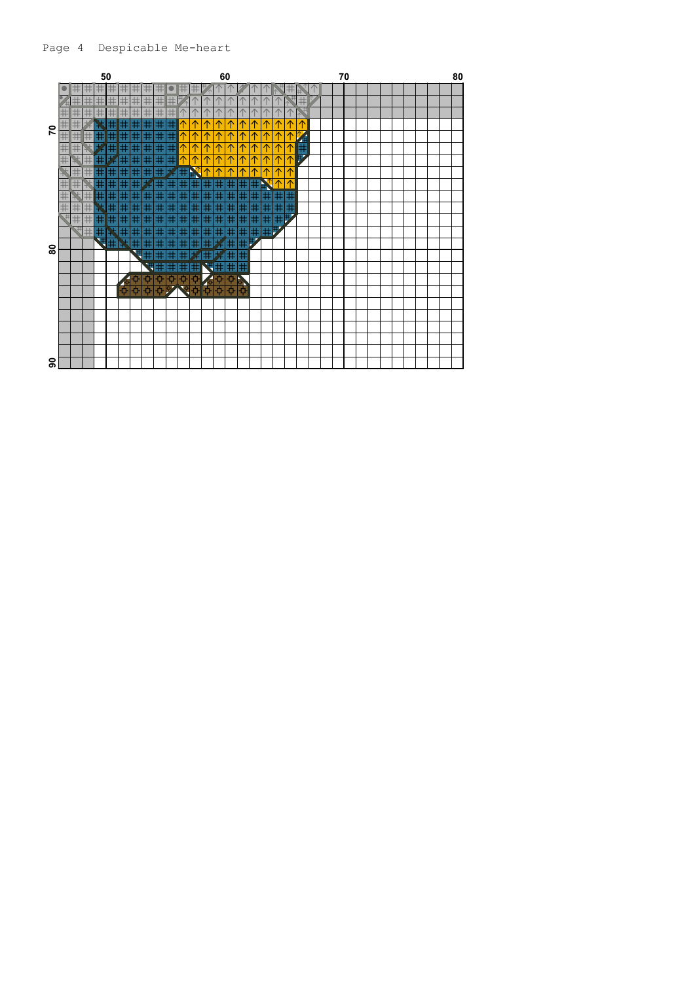